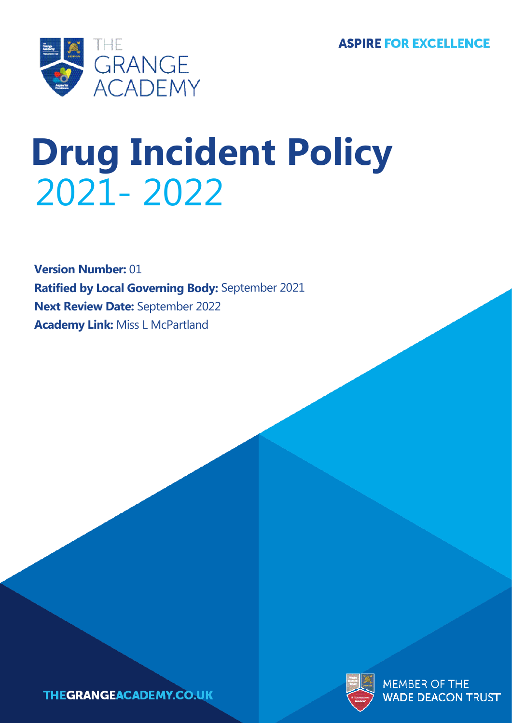

# **Drug Incident Policy** 2021- 2022 2021- 2022

**Version Number:** 01 **Ratified by Local Governing Body:** September 2021 **Next Review Date:** September 2022 **Academy Link:** Miss L McPartland



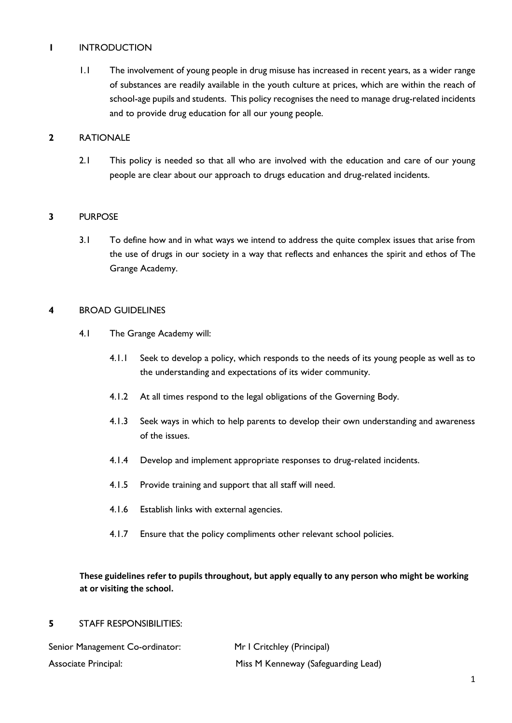## **1** INTRODUCTION

1.1 The involvement of young people in drug misuse has increased in recent years, as a wider range of substances are readily available in the youth culture at prices, which are within the reach of school-age pupils and students. This policy recognises the need to manage drug-related incidents and to provide drug education for all our young people.

## **2** RATIONALE

2.1 This policy is needed so that all who are involved with the education and care of our young people are clear about our approach to drugs education and drug-related incidents.

## **3** PURPOSE

3.1 To define how and in what ways we intend to address the quite complex issues that arise from the use of drugs in our society in a way that reflects and enhances the spirit and ethos of The Grange Academy.

## **4** BROAD GUIDELINES

- 4.1 The Grange Academy will:
	- 4.1.1 Seek to develop a policy, which responds to the needs of its young people as well as to the understanding and expectations of its wider community.
	- 4.1.2 At all times respond to the legal obligations of the Governing Body.
	- 4.1.3 Seek ways in which to help parents to develop their own understanding and awareness of the issues.
	- 4.1.4 Develop and implement appropriate responses to drug-related incidents.
	- 4.1.5 Provide training and support that all staff will need.
	- 4.1.6 Establish links with external agencies.
	- 4.1.7 Ensure that the policy compliments other relevant school policies.

# **These guidelines refer to pupils throughout, but apply equally to any person who might be working at or visiting the school.**

## **5** STAFF RESPONSIBILITIES:

| Senior Management Co-ordinator: | Mr I Critchley (Principal)          |  |
|---------------------------------|-------------------------------------|--|
| <b>Associate Principal:</b>     | Miss M Kenneway (Safeguarding Lead) |  |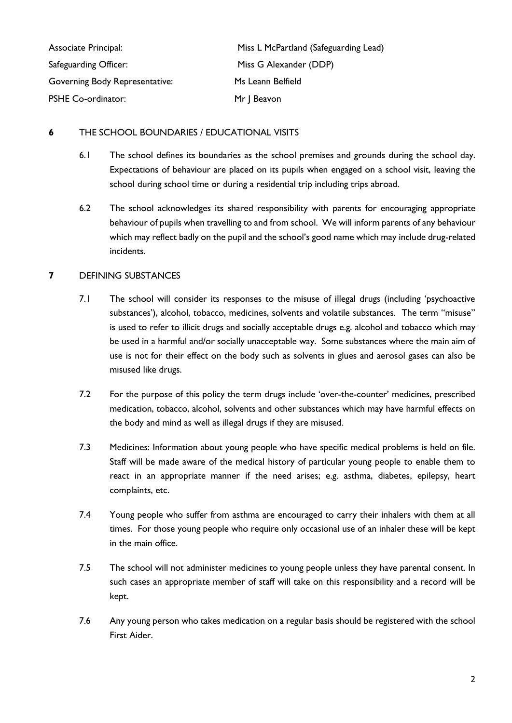| Associate Principal:<br>Safeguarding Officer: | Miss L McPartland (Safeguarding Lead) |  |
|-----------------------------------------------|---------------------------------------|--|
|                                               | Miss G Alexander (DDP)                |  |
| <b>Governing Body Representative:</b>         | Ms Leann Belfield                     |  |
| <b>PSHE Co-ordinator:</b>                     | Mr J Beavon                           |  |

## **6** THE SCHOOL BOUNDARIES / EDUCATIONAL VISITS

- 6.1 The school defines its boundaries as the school premises and grounds during the school day. Expectations of behaviour are placed on its pupils when engaged on a school visit, leaving the school during school time or during a residential trip including trips abroad.
- 6.2 The school acknowledges its shared responsibility with parents for encouraging appropriate behaviour of pupils when travelling to and from school. We will inform parents of any behaviour which may reflect badly on the pupil and the school's good name which may include drug-related incidents.

# **7** DEFINING SUBSTANCES

- 7.1 The school will consider its responses to the misuse of illegal drugs (including 'psychoactive substances'), alcohol, tobacco, medicines, solvents and volatile substances. The term "misuse" is used to refer to illicit drugs and socially acceptable drugs e.g. alcohol and tobacco which may be used in a harmful and/or socially unacceptable way. Some substances where the main aim of use is not for their effect on the body such as solvents in glues and aerosol gases can also be misused like drugs.
- 7.2 For the purpose of this policy the term drugs include 'over-the-counter' medicines, prescribed medication, tobacco, alcohol, solvents and other substances which may have harmful effects on the body and mind as well as illegal drugs if they are misused.
- 7.3 Medicines: Information about young people who have specific medical problems is held on file. Staff will be made aware of the medical history of particular young people to enable them to react in an appropriate manner if the need arises; e.g. asthma, diabetes, epilepsy, heart complaints, etc.
- 7.4 Young people who suffer from asthma are encouraged to carry their inhalers with them at all times. For those young people who require only occasional use of an inhaler these will be kept in the main office.
- 7.5 The school will not administer medicines to young people unless they have parental consent. In such cases an appropriate member of staff will take on this responsibility and a record will be kept.
- 7.6 Any young person who takes medication on a regular basis should be registered with the school First Aider.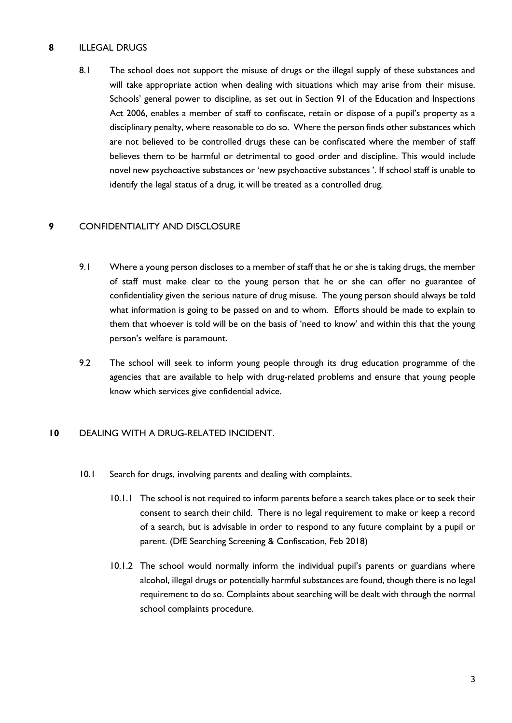## **8** ILLEGAL DRUGS

8.1 The school does not support the misuse of drugs or the illegal supply of these substances and will take appropriate action when dealing with situations which may arise from their misuse. Schools' general power to discipline, as set out in Section 91 of the Education and Inspections Act 2006, enables a member of staff to confiscate, retain or dispose of a pupil's property as a disciplinary penalty, where reasonable to do so. Where the person finds other substances which are not believed to be controlled drugs these can be confiscated where the member of staff believes them to be harmful or detrimental to good order and discipline. This would include novel new psychoactive substances or 'new psychoactive substances '. If school staff is unable to identify the legal status of a drug, it will be treated as a controlled drug.

## **9** CONFIDENTIALITY AND DISCLOSURE

- 9.1 Where a young person discloses to a member of staff that he or she is taking drugs, the member of staff must make clear to the young person that he or she can offer no guarantee of confidentiality given the serious nature of drug misuse. The young person should always be told what information is going to be passed on and to whom. Efforts should be made to explain to them that whoever is told will be on the basis of 'need to know' and within this that the young person's welfare is paramount.
- 9.2 The school will seek to inform young people through its drug education programme of the agencies that are available to help with drug-related problems and ensure that young people know which services give confidential advice.

## **10** DEALING WITH A DRUG-RELATED INCIDENT.

- 10.1 Search for drugs, involving parents and dealing with complaints.
	- 10.1.1 The school is not required to inform parents before a search takes place or to seek their consent to search their child. There is no legal requirement to make or keep a record of a search, but is advisable in order to respond to any future complaint by a pupil or parent. (DfE Searching Screening & Confiscation, Feb 2018)
	- 10.1.2 The school would normally inform the individual pupil's parents or guardians where alcohol, illegal drugs or potentially harmful substances are found, though there is no legal requirement to do so. Complaints about searching will be dealt with through the normal school complaints procedure.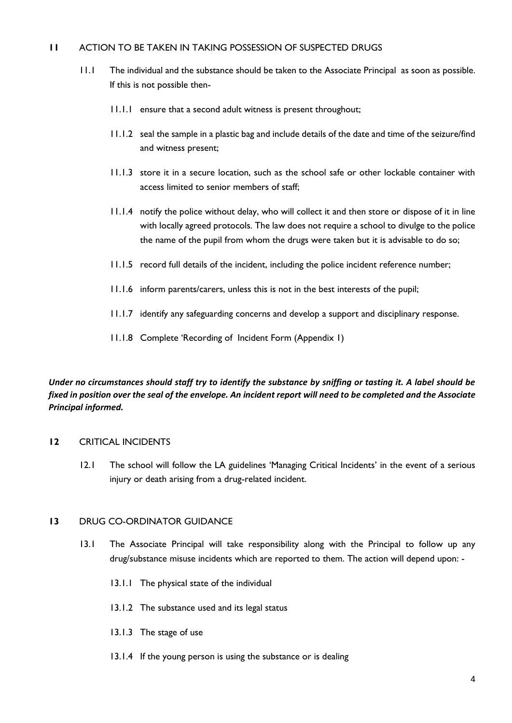## **11** ACTION TO BE TAKEN IN TAKING POSSESSION OF SUSPECTED DRUGS

- 11.1 The individual and the substance should be taken to the Associate Principal as soon as possible. If this is not possible then-
	- 11.1.1 ensure that a second adult witness is present throughout;
	- 11.1.2 seal the sample in a plastic bag and include details of the date and time of the seizure/find and witness present;
	- 11.1.3 store it in a secure location, such as the school safe or other lockable container with access limited to senior members of staff;
	- 11.1.4 notify the police without delay, who will collect it and then store or dispose of it in line with locally agreed protocols. The law does not require a school to divulge to the police the name of the pupil from whom the drugs were taken but it is advisable to do so;
	- 11.1.5 record full details of the incident, including the police incident reference number;
	- 11.1.6 inform parents/carers, unless this is not in the best interests of the pupil;
	- 11.1.7 identify any safeguarding concerns and develop a support and disciplinary response.
	- 11.1.8 Complete 'Recording of Incident Form (Appendix 1)

*Under no circumstances should staff try to identify the substance by sniffing or tasting it. A label should be fixed in position over the seal of the envelope. An incident report will need to be completed and the Associate Principal informed.*

## **12** CRITICAL INCIDENTS

12.1 The school will follow the LA guidelines 'Managing Critical Incidents' in the event of a serious injury or death arising from a drug-related incident.

## **13** DRUG CO-ORDINATOR GUIDANCE

- 13.1 The Associate Principal will take responsibility along with the Principal to follow up any drug/substance misuse incidents which are reported to them. The action will depend upon: -
	- 13.1.1 The physical state of the individual
	- 13.1.2 The substance used and its legal status
	- 13.1.3 The stage of use
	- 13.1.4 If the young person is using the substance or is dealing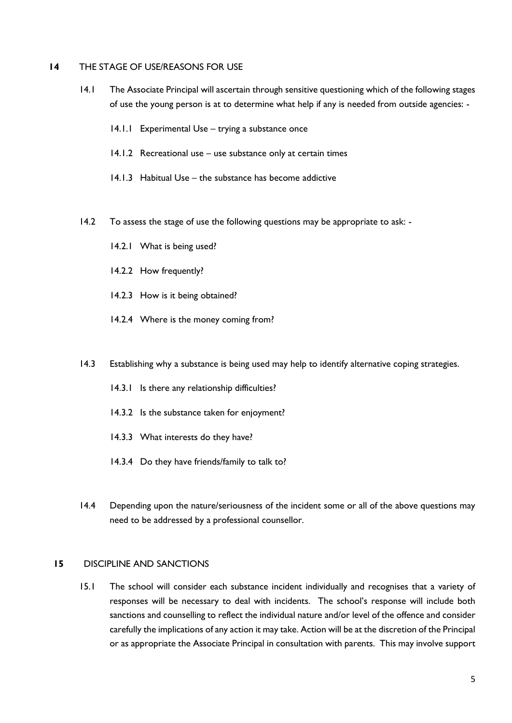#### **14** THE STAGE OF USE/REASONS FOR USE

- 14.1 The Associate Principal will ascertain through sensitive questioning which of the following stages of use the young person is at to determine what help if any is needed from outside agencies: -
	- 14.1.1 Experimental Use trying a substance once
	- 14.1.2 Recreational use use substance only at certain times
	- 14.1.3 Habitual Use the substance has become addictive
- 14.2 To assess the stage of use the following questions may be appropriate to ask:
	- 14.2.1 What is being used?
	- 14.2.2 How frequently?
	- 14.2.3 How is it being obtained?
	- 14.2.4 Where is the money coming from?
- 14.3 Establishing why a substance is being used may help to identify alternative coping strategies.
	- 14.3.1 Is there any relationship difficulties?
	- 14.3.2 Is the substance taken for enjoyment?
	- 14.3.3 What interests do they have?
	- 14.3.4 Do they have friends/family to talk to?
- 14.4 Depending upon the nature/seriousness of the incident some or all of the above questions may need to be addressed by a professional counsellor.

#### **15** DISCIPLINE AND SANCTIONS

15.1 The school will consider each substance incident individually and recognises that a variety of responses will be necessary to deal with incidents. The school's response will include both sanctions and counselling to reflect the individual nature and/or level of the offence and consider carefully the implications of any action it may take. Action will be at the discretion of the Principal or as appropriate the Associate Principal in consultation with parents. This may involve support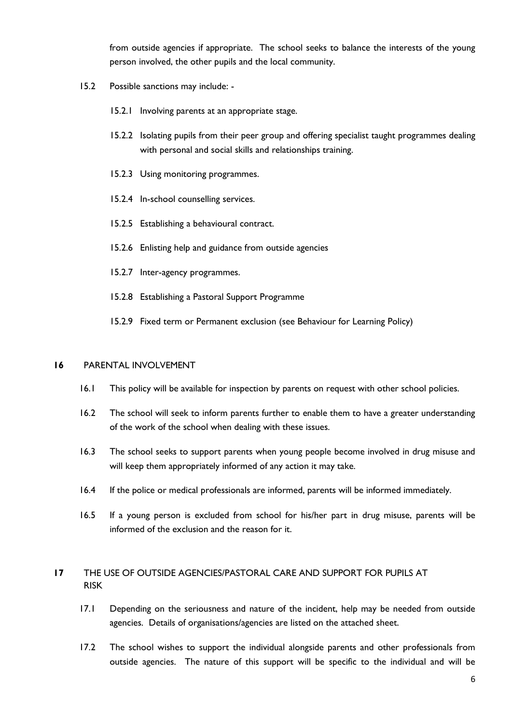from outside agencies if appropriate. The school seeks to balance the interests of the young person involved, the other pupils and the local community.

- 15.2 Possible sanctions may include:
	- 15.2.1 Involving parents at an appropriate stage.
	- 15.2.2 Isolating pupils from their peer group and offering specialist taught programmes dealing with personal and social skills and relationships training.
	- 15.2.3 Using monitoring programmes.
	- 15.2.4 In-school counselling services.
	- 15.2.5 Establishing a behavioural contract.
	- 15.2.6 Enlisting help and guidance from outside agencies
	- 15.2.7 Inter-agency programmes.
	- 15.2.8 Establishing a Pastoral Support Programme
	- 15.2.9 Fixed term or Permanent exclusion (see Behaviour for Learning Policy)

#### **16** PARENTAL INVOLVEMENT

- 16.1 This policy will be available for inspection by parents on request with other school policies.
- 16.2 The school will seek to inform parents further to enable them to have a greater understanding of the work of the school when dealing with these issues.
- 16.3 The school seeks to support parents when young people become involved in drug misuse and will keep them appropriately informed of any action it may take.
- 16.4 If the police or medical professionals are informed, parents will be informed immediately.
- 16.5 If a young person is excluded from school for his/her part in drug misuse, parents will be informed of the exclusion and the reason for it.

# **17** THE USE OF OUTSIDE AGENCIES/PASTORAL CARE AND SUPPORT FOR PUPILS AT RISK

- 17.1 Depending on the seriousness and nature of the incident, help may be needed from outside agencies. Details of organisations/agencies are listed on the attached sheet.
- 17.2 The school wishes to support the individual alongside parents and other professionals from outside agencies. The nature of this support will be specific to the individual and will be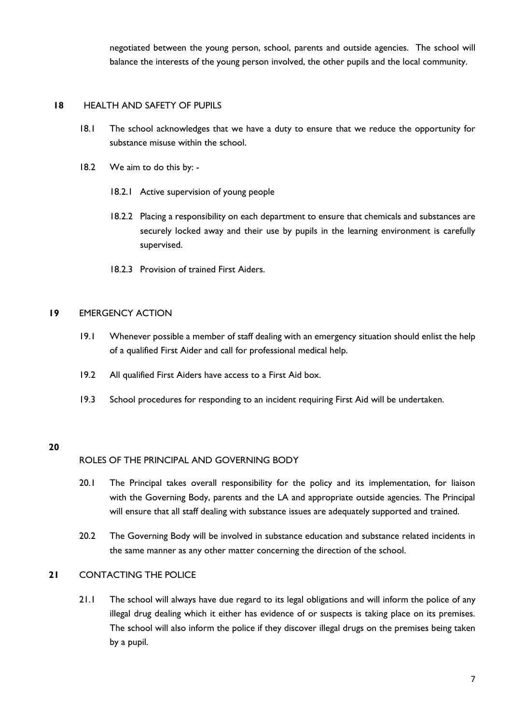negotiated between the young person, school, parents and outside agencies. The school will balance the interests of the young person involved, the other pupils and the local community.

## **18** HEALTH AND SAFETY OF PUPILS

- 18.1 The school acknowledges that we have a duty to ensure that we reduce the opportunity for substance misuse within the school.
- 18.2 We aim to do this by:
	- 18.2.1 Active supervision of young people
	- 18.2.2 Placing a responsibility on each department to ensure that chemicals and substances are securely locked away and their use by pupils in the learning environment is carefully supervised.
	- 18.2.3 Provision of trained First Aiders.

#### **19** EMERGENCY ACTION

- 19.1 Whenever possible a member of staff dealing with an emergency situation should enlist the help of a qualified First Aider and call for professional medical help.
- 19.2 All qualified First Aiders have access to a First Aid box.
- 19.3 School procedures for responding to an incident requiring First Aid will be undertaken.

## **20**

## ROLES OF THE PRINCIPAL AND GOVERNING BODY

- 20.1 The Principal takes overall responsibility for the policy and its implementation, for liaison with the Governing Body, parents and the LA and appropriate outside agencies. The Principal will ensure that all staff dealing with substance issues are adequately supported and trained.
- 20.2 The Governing Body will be involved in substance education and substance related incidents in the same manner as any other matter concerning the direction of the school.

#### **21** CONTACTING THE POLICE

21.1 The school will always have due regard to its legal obligations and will inform the police of any illegal drug dealing which it either has evidence of or suspects is taking place on its premises. The school will also inform the police if they discover illegal drugs on the premises being taken by a pupil.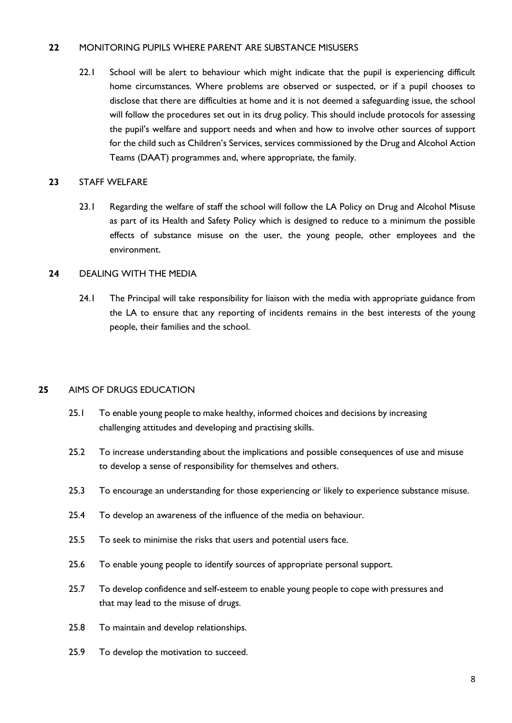## **22** MONITORING PUPILS WHERE PARENT ARE SUBSTANCE MISUSERS

22.1 School will be alert to behaviour which might indicate that the pupil is experiencing difficult home circumstances. Where problems are observed or suspected, or if a pupil chooses to disclose that there are difficulties at home and it is not deemed a safeguarding issue, the school will follow the procedures set out in its drug policy. This should include protocols for assessing the pupil's welfare and support needs and when and how to involve other sources of support for the child such as Children's Services, services commissioned by the Drug and Alcohol Action Teams (DAAT) programmes and, where appropriate, the family.

### **23** STAFF WELFARE

23.1 Regarding the welfare of staff the school will follow the LA Policy on Drug and Alcohol Misuse as part of its Health and Safety Policy which is designed to reduce to a minimum the possible effects of substance misuse on the user, the young people, other employees and the environment.

## **24** DEALING WITH THE MEDIA

24.1 The Principal will take responsibility for liaison with the media with appropriate guidance from the LA to ensure that any reporting of incidents remains in the best interests of the young people, their families and the school.

## **25** AIMS OF DRUGS EDUCATION

- 25.1 To enable young people to make healthy, informed choices and decisions by increasing challenging attitudes and developing and practising skills.
- 25.2 To increase understanding about the implications and possible consequences of use and misuse to develop a sense of responsibility for themselves and others.
- 25.3 To encourage an understanding for those experiencing or likely to experience substance misuse.
- 25.4 To develop an awareness of the influence of the media on behaviour.
- 25.5 To seek to minimise the risks that users and potential users face.
- 25.6 To enable young people to identify sources of appropriate personal support.
- 25.7 To develop confidence and self-esteem to enable young people to cope with pressures and that may lead to the misuse of drugs.
- 25.8 To maintain and develop relationships.
- 25.9 To develop the motivation to succeed.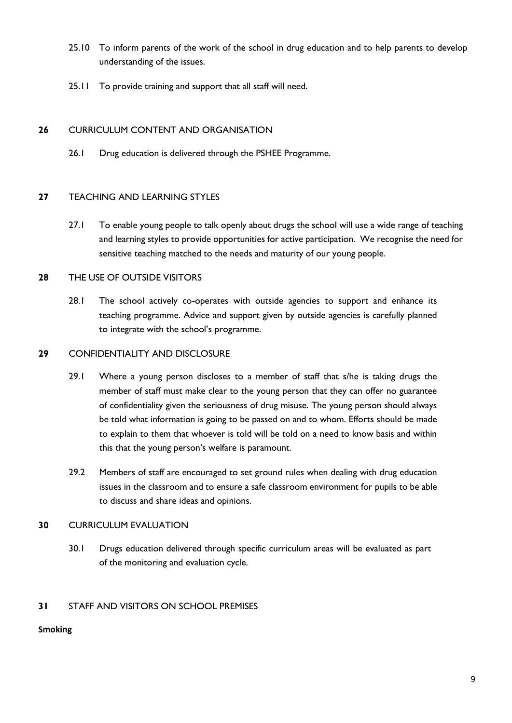- 25.10 To inform parents of the work of the school in drug education and to help parents to develop understanding of the issues.
- 25.11 To provide training and support that all staff will need.

# **26** CURRICULUM CONTENT AND ORGANISATION

26.1 Drug education is delivered through the PSHEE Programme.

## **27** TEACHING AND LEARNING STYLES

27.1 To enable young people to talk openly about drugs the school will use a wide range of teaching and learning styles to provide opportunities for active participation. We recognise the need for sensitive teaching matched to the needs and maturity of our young people.

## **28** THE USE OF OUTSIDE VISITORS

28.1 The school actively co-operates with outside agencies to support and enhance its teaching programme. Advice and support given by outside agencies is carefully planned to integrate with the school's programme.

## **29** CONFIDENTIALITY AND DISCLOSURE

- 29.1 Where a young person discloses to a member of staff that s/he is taking drugs the member of staff must make clear to the young person that they can offer no guarantee of confidentiality given the seriousness of drug misuse. The young person should always be told what information is going to be passed on and to whom. Efforts should be made to explain to them that whoever is told will be told on a need to know basis and within this that the young person's welfare is paramount.
- 29.2 Members of staff are encouraged to set ground rules when dealing with drug education issues in the classroom and to ensure a safe classroom environment for pupils to be able to discuss and share ideas and opinions.

## **30** CURRICULUM EVALUATION

30.1 Drugs education delivered through specific curriculum areas will be evaluated as part of the monitoring and evaluation cycle.

# **31** STAFF AND VISITORS ON SCHOOL PREMISES

## **Smoking**